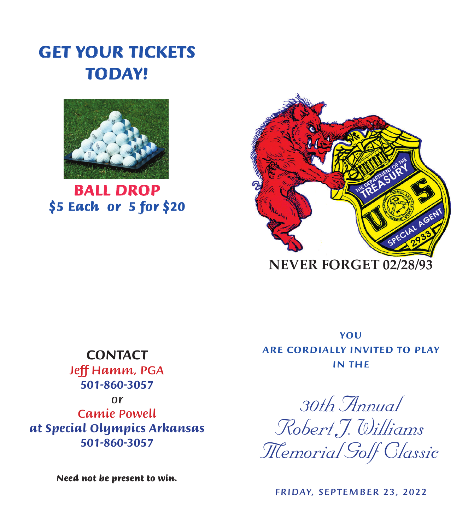## GET YOUR TICKETS TODAY!



BALL DROP \$5 Each or 5 for \$20



**NEVER FORGET 02/28/93**

## *CONTACT*

CONTACT: *501-860-3057*  $\begin{array}{ccc} & & \mathbf{0}\mathbf{r} \\ & \ddots & \end{array}$ at Special Olympics Arkansas *at Special Olympics Arkansas* 501-771-0222 or 501-786-9029 *501-860-3057Jeff Hamm, PGA or Camie Powell*

Need not be present to win.

IN THE YOU **ARE CORDIALLY INVITED TO PLAY** 

in the *29th Annual* 30th Annual Robert J. Williams *Robert J. Williams* Robert J. Williams Memorial Golf Classic *Memorial Golf Classic* Memorial Golf Classic

2008 , , *FRIDAY, SEPTEMBER 23, 2022*